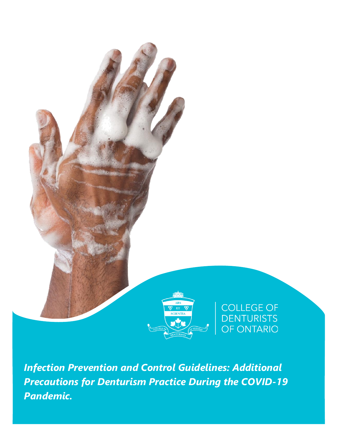

*Infection Prevention and Control Guidelines: Additional Precautions for Denturism Practice During the COVID-19 Pandemic.*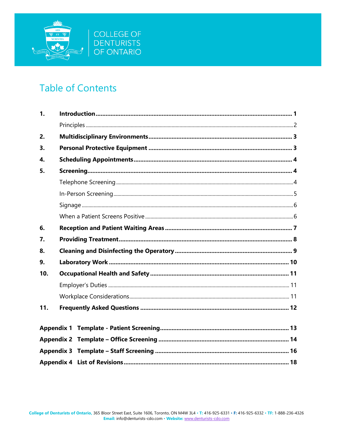

# **Table of Contents**

| $\mathbf{1}$ . |  |  |  |
|----------------|--|--|--|
|                |  |  |  |
| 2.             |  |  |  |
| 3.             |  |  |  |
| 4.             |  |  |  |
| 5.             |  |  |  |
|                |  |  |  |
|                |  |  |  |
|                |  |  |  |
|                |  |  |  |
| 6.             |  |  |  |
| 7.             |  |  |  |
| 8.             |  |  |  |
| 9.             |  |  |  |
| 10.            |  |  |  |
|                |  |  |  |
|                |  |  |  |
| 11.            |  |  |  |
|                |  |  |  |
|                |  |  |  |
|                |  |  |  |
|                |  |  |  |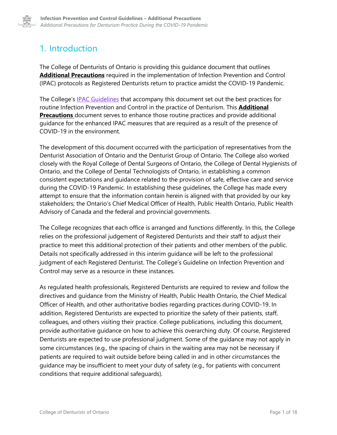

# <span id="page-2-0"></span>1. Introduction

The College of Denturists of Ontario is providing this guidance document that outlines **Additional Precautions** required in the implementation of Infection Prevention and Control (IPAC) protocols as Registered Denturists return to practice amidst the COVID-19 Pandemic.

The College's **[IPAC Guidelines](https://denturists-cdo.com/Resources/Regulatory-Framework/Guidelines/Guidelines-Infection-Prevention-and-Control-in-th.aspx)** that accompany this document set out the best practices for routine Infection Prevention and Control in the practice of Denturism. This **Additional Precautions** document serves to enhance those routine practices and provide additional guidance for the enhanced IPAC measures that are required as a result of the presence of COVID-19 in the environment.

The development of this document occurred with the participation of representatives from the Denturist Association of Ontario and the Denturist Group of Ontario. The College also worked closely with the Royal College of Dental Surgeons of Ontario, the College of Dental Hygienists of Ontario, and the College of Dental Technologists of Ontario, in establishing a common consistent expectations and guidance related to the provision of safe, effective care and service during the COVID-19 Pandemic. In establishing these guidelines, the College has made every attempt to ensure that the information contain herein is aligned with that provided by our key stakeholders; the Ontario's Chief Medical Officer of Health, Public Health Ontario, Public Health Advisory of Canada and the federal and provincial governments.

The College recognizes that each office is arranged and functions differently. In this, the College relies on the professional judgement of Registered Denturists and their staff to adjust their practice to meet this additional protection of their patients and other members of the public. Details not specifically addressed in this interim guidance will be left to the professional judgment of each Registered Denturist. The College's Guideline on Infection Prevention and Control may serve as a resource in these instances.

As regulated health professionals, Registered Denturists are required to review and follow the directives and guidance from the Ministry of Health, Public Health Ontario, the Chief Medical Officer of Health, and other authoritative bodies regarding practices during COVID-19. In addition, Registered Denturists are expected to prioritize the safety of their patients, staff, colleagues, and others visiting their practice. College publications, including this document, provide authoritative guidance on how to achieve this overarching duty. Of course, Registered Denturists are expected to use professional judgment. Some of the guidance may not apply in some circumstances (e.g., the spacing of chairs in the waiting area may not be necessary if patients are required to wait outside before being called in and in other circumstances the guidance may be insufficient to meet your duty of safety (e.g., for patients with concurrent conditions that require additional safeguards).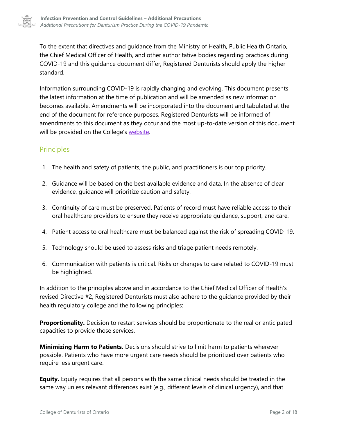

To the extent that directives and guidance from the Ministry of Health, Public Health Ontario, the Chief Medical Officer of Health, and other authoritative bodies regarding practices during COVID-19 and this guidance document differ, Registered Denturists should apply the higher standard.

Information surrounding COVID-19 is rapidly changing and evolving. This document presents the latest information at the time of publication and will be amended as new information becomes available. Amendments will be incorporated into the document and tabulated at the end of the document for reference purposes. Registered Denturists will be informed of amendments to this document as they occur and the most up-to-date version of this document will be provided on the College's [website.](http://www.denturists-cdo.com/)

### <span id="page-3-0"></span>Principles

- 1. The health and safety of patients, the public, and practitioners is our top priority.
- 2. Guidance will be based on the best available evidence and data. In the absence of clear evidence, guidance will prioritize caution and safety.
- 3. Continuity of care must be preserved. Patients of record must have reliable access to their oral healthcare providers to ensure they receive appropriate guidance, support, and care.
- 4. Patient access to oral healthcare must be balanced against the risk of spreading COVID-19.
- 5. Technology should be used to assess risks and triage patient needs remotely.
- 6. Communication with patients is critical. Risks or changes to care related to COVID-19 must be highlighted.

In addition to the principles above and in accordance to the Chief Medical Officer of Health's revised Directive #2, Registered Denturists must also adhere to the guidance provided by their health regulatory college and the following principles:

**Proportionality.** Decision to restart services should be proportionate to the real or anticipated capacities to provide those services.

**Minimizing Harm to Patients.** Decisions should strive to limit harm to patients wherever possible. Patients who have more urgent care needs should be prioritized over patients who require less urgent care.

**Equity.** Equity requires that all persons with the same clinical needs should be treated in the same way unless relevant differences exist (e.g., different levels of clinical urgency), and that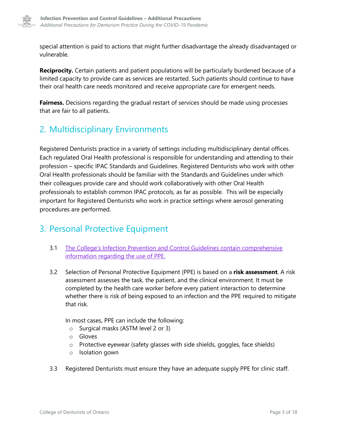

special attention is paid to actions that might further disadvantage the already disadvantaged or vulnerable.

**Reciprocity.** Certain patients and patient populations will be particularly burdened because of a limited capacity to provide care as services are restarted. Such patients should continue to have their oral health care needs monitored and receive appropriate care for emergent needs.

**Fairness.** Decisions regarding the gradual restart of services should be made using processes that are fair to all patients.

## <span id="page-4-0"></span>2. Multidisciplinary Environments

Registered Denturists practice in a variety of settings including multidisciplinary dental offices. Each regulated Oral Health professional is responsible for understanding and attending to their profession – specific IPAC Standards and Guidelines. Registered Denturists who work with other Oral Health professionals should be familiar with the Standards and Guidelines under which their colleagues provide care and should work collaboratively with other Oral Health professionals to establish common IPAC protocols, as far as possible. This will be especially important for Registered Denturists who work in practice settings where aerosol generating procedures are performed.

## <span id="page-4-1"></span>3. Personal Protective Equipment

- 3.1 [The College's Infection Prevention and Control Guidelines contain comprehensive](https://denturists-cdo.com/Resources/Regulatory-Framework/Guidelines/Guidelines-Infection-Prevention-and-Control-in-th.aspx#page=13)  [information regarding the use of PPE.](https://denturists-cdo.com/Resources/Regulatory-Framework/Guidelines/Guidelines-Infection-Prevention-and-Control-in-th.aspx#page=13)
- 3.2 Selection of Personal Protective Equipment (PPE) is based on a **risk assessment**. A risk assessment assesses the task, the patient, and the clinical environment. It must be completed by the health care worker before every patient interaction to determine whether there is risk of being exposed to an infection and the PPE required to mitigate that risk.

In most cases, PPE can include the following:

- o Surgical masks (ASTM level 2 or 3)
- o Gloves
- o Protective eyewear (safety glasses with side shields, goggles, face shields)
- o Isolation gown
- 3.3 Registered Denturists must ensure they have an adequate supply PPE for clinic staff.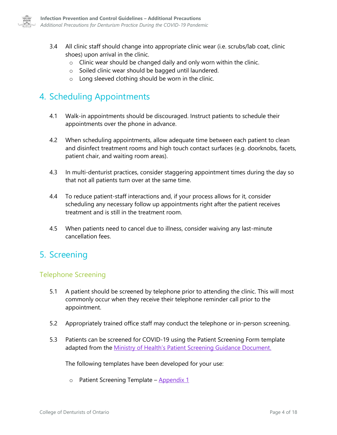

- 3.4 All clinic staff should change into appropriate clinic wear (i.e. scrubs/lab coat, clinic shoes) upon arrival in the clinic.
	- $\circ$  Clinic wear should be changed daily and only worn within the clinic.
	- o Soiled clinic wear should be bagged until laundered.
	- o Long sleeved clothing should be worn in the clinic.

# <span id="page-5-0"></span>4. Scheduling Appointments

- 4.1 Walk-in appointments should be discouraged. Instruct patients to schedule their appointments over the phone in advance.
- 4.2 When scheduling appointments, allow adequate time between each patient to clean and disinfect treatment rooms and high touch contact surfaces (e.g. doorknobs, facets, patient chair, and waiting room areas).
- 4.3 In multi-denturist practices, consider staggering appointment times during the day so that not all patients turn over at the same time.
- 4.4 To reduce patient-staff interactions and, if your process allows for it, consider scheduling any necessary follow up appointments right after the patient receives treatment and is still in the treatment room.
- 4.5 When patients need to cancel due to illness, consider waiving any last-minute cancellation fees.

## <span id="page-5-1"></span>5. Screening

### <span id="page-5-2"></span>Telephone Screening

- 5.1 A patient should be screened by telephone prior to attending the clinic. This will most commonly occur when they receive their telephone reminder call prior to the appointment.
- 5.2 Appropriately trained office staff may conduct the telephone or in-person screening.
- 5.3 Patients can be screened for COVID-19 using the Patient Screening Form template adapted from the [Ministry of Health's Patient Screening Guidance Document.](http://www.health.gov.on.ca/en/pro/programs/publichealth/coronavirus/docs/2019_patient_screening_guidance.pdf)

The following templates have been developed for your use:

o Patient Screening Template – [Appendix 1](#page-14-0)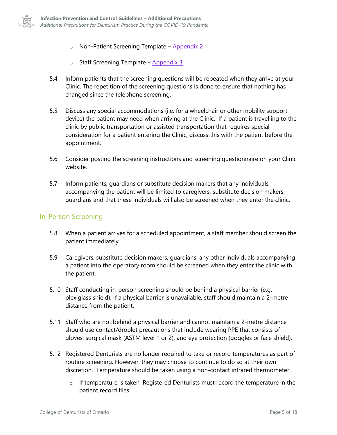

- $\circ$  Non-Patient Screening Template [Appendix 2](#page-15-0)
- $\circ$  Staff Screening Template [Appendix 3](#page-17-0)
- 5.4 Inform patients that the screening questions will be repeated when they arrive at your Clinic. The repetition of the screening questions is done to ensure that nothing has changed since the telephone screening.
- 5.5 Discuss any special accommodations (i.e. for a wheelchair or other mobility support device) the patient may need when arriving at the Clinic. If a patient is travelling to the clinic by public transportation or assisted transportation that requires special consideration for a patient entering the Clinic, discuss this with the patient before the appointment.
- 5.6 Consider posting the screening instructions and screening questionnaire on your Clinic website.
- 5.7 Inform patients, guardians or substitute decision makers that any individuals accompanying the patient will be limited to caregivers, substitute decision makers, guardians and that these individuals will also be screened when they enter the clinic.

### <span id="page-6-0"></span>In-Person Screening

- 5.8 When a patient arrives for a scheduled appointment, a staff member should screen the patient immediately.
- 5.9 Caregivers, substitute decision makers, guardians, any other individuals accompanying a patient into the operatory room should be screened when they enter the clinic with the patient.
- 5.10 Staff conducting in-person screening should be behind a physical barrier (e.g. plexiglass shield). If a physical barrier is unavailable, staff should maintain a 2-metre distance from the patient.
- 5.11 Staff who are not behind a physical barrier and cannot maintain a 2-metre distance should use contact/droplet precautions that include wearing PPE that consists of gloves, surgical mask (ASTM level 1 or 2), and eye protection (goggles or face shield).
- 5.12 Registered Denturists are no longer required to take or record temperatures as part of routine screening. However, they may choose to continue to do so at their own discretion. Temperature should be taken using a non-contact infrared thermometer.
	- $\circ$  If temperature is taken, Registered Denturists must record the temperature in the patient record files.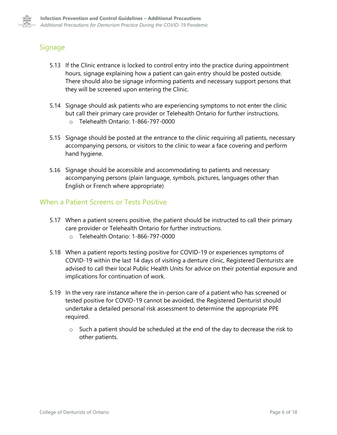

### <span id="page-7-0"></span>**Signage**

- 5.13 If the Clinic entrance is locked to control entry into the practice during appointment hours, signage explaining how a patient can gain entry should be posted outside. There should also be signage informing patients and necessary support persons that they will be screened upon entering the Clinic.
- 5.14 Signage should ask patients who are experiencing symptoms to not enter the clinic but call their primary care provider or Telehealth Ontario for further instructions.
	- o Telehealth Ontario: 1-866-797-0000
- 5.15 Signage should be posted at the entrance to the clinic requiring all patients, necessary accompanying persons, or visitors to the clinic to wear a face covering and perform hand hygiene.
- 5.16 Signage should be accessible and accommodating to patients and necessary accompanying persons (plain language, symbols, pictures, languages other than English or French where appropriate)

### <span id="page-7-1"></span>When a Patient Screens or Tests Positive

- 5.17 When a patient screens positive, the patient should be instructed to call their primary care provider or Telehealth Ontario for further instructions.
	- o Telehealth Ontario: 1-866-797-0000
- 5.18 When a patient reports testing positive for COVID-19 or experiences symptoms of COVID-19 within the last 14 days of visiting a denture clinic, Registered Denturists are advised to call their local Public Health Units for advice on their potential exposure and implications for continuation of work.
- 5.19 In the very rare instance where the in-person care of a patient who has screened or tested positive for COVID-19 cannot be avoided, the Registered Denturist should undertake a detailed personal risk assessment to determine the appropriate PPE required.
	- $\circ$  Such a patient should be scheduled at the end of the day to decrease the risk to other patients.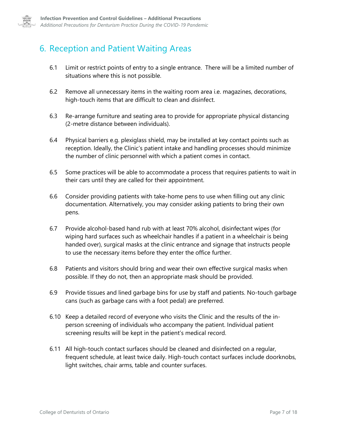

## <span id="page-8-0"></span>6. Reception and Patient Waiting Areas

- 6.1 Limit or restrict points of entry to a single entrance. There will be a limited number of situations where this is not possible.
- 6.2 Remove all unnecessary items in the waiting room area i.e. magazines, decorations, high-touch items that are difficult to clean and disinfect.
- 6.3 Re-arrange furniture and seating area to provide for appropriate physical distancing (2-metre distance between individuals).
- 6.4 Physical barriers e.g. plexiglass shield, may be installed at key contact points such as reception. Ideally, the Clinic's patient intake and handling processes should minimize the number of clinic personnel with which a patient comes in contact.
- 6.5 Some practices will be able to accommodate a process that requires patients to wait in their cars until they are called for their appointment.
- 6.6 Consider providing patients with take-home pens to use when filling out any clinic documentation. Alternatively, you may consider asking patients to bring their own pens.
- 6.7 Provide alcohol-based hand rub with at least 70% alcohol, disinfectant wipes (for wiping hard surfaces such as wheelchair handles if a patient in a wheelchair is being handed over), surgical masks at the clinic entrance and signage that instructs people to use the necessary items before they enter the office further.
- 6.8 Patients and visitors should bring and wear their own effective surgical masks when possible. If they do not, then an appropriate mask should be provided.
- 6.9 Provide tissues and lined garbage bins for use by staff and patients. No-touch garbage cans (such as garbage cans with a foot pedal) are preferred.
- 6.10 Keep a detailed record of everyone who visits the Clinic and the results of the inperson screening of individuals who accompany the patient. Individual patient screening results will be kept in the patient's medical record.
- 6.11 All high-touch contact surfaces should be cleaned and disinfected on a regular, frequent schedule, at least twice daily. High-touch contact surfaces include doorknobs, light switches, chair arms, table and counter surfaces.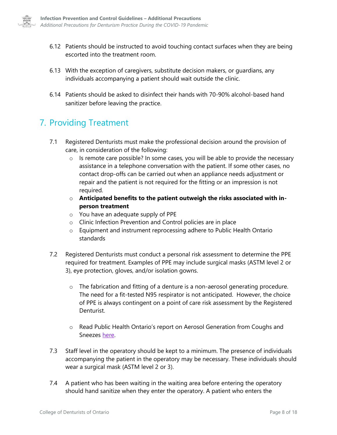

- 6.12 Patients should be instructed to avoid touching contact surfaces when they are being escorted into the treatment room.
- 6.13 With the exception of caregivers, substitute decision makers, or guardians, any individuals accompanying a patient should wait outside the clinic.
- 6.14 Patients should be asked to disinfect their hands with 70-90% alcohol-based hand sanitizer before leaving the practice.

## <span id="page-9-0"></span>7. Providing Treatment

- 7.1 Registered Denturists must make the professional decision around the provision of care, in consideration of the following:
	- $\circ$  Is remote care possible? In some cases, you will be able to provide the necessary assistance in a telephone conversation with the patient. If some other cases, no contact drop-offs can be carried out when an appliance needs adjustment or repair and the patient is not required for the fitting or an impression is not required.
	- o **Anticipated benefits to the patient outweigh the risks associated with inperson treatment**
	- o You have an adequate supply of PPE
	- o Clinic Infection Prevention and Control policies are in place
	- o Equipment and instrument reprocessing adhere to Public Health Ontario standards
- 7.2 Registered Denturists must conduct a personal risk assessment to determine the PPE required for treatment. Examples of PPE may include surgical masks (ASTM level 2 or 3), eye protection, gloves, and/or isolation gowns.
	- o The fabrication and fitting of a denture is a non-aerosol generating procedure. The need for a fit-tested N95 respirator is not anticipated. However, the choice of PPE is always contingent on a point of care risk assessment by the Registered **Denturist**
	- o Read Public Health Ontario's report on Aerosol Generation from Coughs and Sneezes [here.](https://www.publichealthontario.ca/-/media/documents/ncov/ipac/report-covid-19-aerosol-generation-coughs-sneezes.pdf?la=en)
- 7.3 Staff level in the operatory should be kept to a minimum. The presence of individuals accompanying the patient in the operatory may be necessary. These individuals should wear a surgical mask (ASTM level 2 or 3).
- 7.4 A patient who has been waiting in the waiting area before entering the operatory should hand sanitize when they enter the operatory. A patient who enters the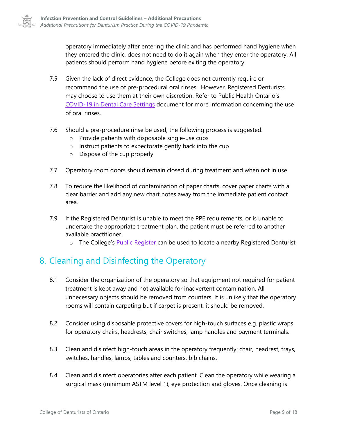operatory immediately after entering the clinic and has performed hand hygiene when they entered the clinic, does not need to do it again when they enter the operatory. All patients should perform hand hygiene before exiting the operatory.

- 7.5 Given the lack of direct evidence, the College does not currently require or recommend the use of pre-procedural oral rinses. However, Registered Denturists may choose to use them at their own discretion. Refer to Public Health Ontario's [COVID-19 in Dental Care Settings](https://www.publichealthontario.ca/-/media/documents/ncov/ipac/2020/07/covid-19-dental-care-settings.pdf?la=en) document for more information concerning the use of oral rinses.
- 7.6 Should a pre-procedure rinse be used, the following process is suggested:
	- o Provide patients with disposable single-use cups
	- o Instruct patients to expectorate gently back into the cup
	- o Dispose of the cup properly
- 7.7 Operatory room doors should remain closed during treatment and when not in use.
- 7.8 To reduce the likelihood of contamination of paper charts, cover paper charts with a clear barrier and add any new chart notes away from the immediate patient contact area.
- 7.9 If the Registered Denturist is unable to meet the PPE requirements, or is unable to undertake the appropriate treatment plan, the patient must be referred to another available practitioner.
	- o The College's [Public Register](http://denturists-cdo.com/Find-a-Denturist) can be used to locate a nearby Registered Denturist

## <span id="page-10-0"></span>8. Cleaning and Disinfecting the Operatory

- 8.1 Consider the organization of the operatory so that equipment not required for patient treatment is kept away and not available for inadvertent contamination. All unnecessary objects should be removed from counters. It is unlikely that the operatory rooms will contain carpeting but if carpet is present, it should be removed.
- 8.2 Consider using disposable protective covers for high-touch surfaces e.g. plastic wraps for operatory chairs, headrests, chair switches, lamp handles and payment terminals.
- 8.3 Clean and disinfect high-touch areas in the operatory frequently: chair, headrest, trays, switches, handles, lamps, tables and counters, bib chains.
- 8.4 Clean and disinfect operatories after each patient. Clean the operatory while wearing a surgical mask (minimum ASTM level 1), eye protection and gloves. Once cleaning is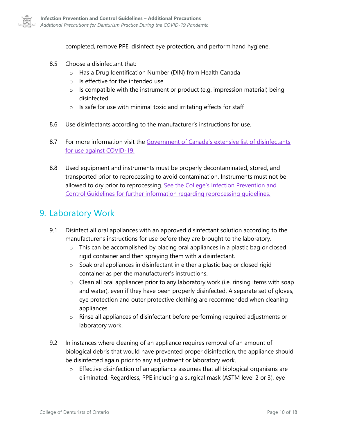

completed, remove PPE, disinfect eye protection, and perform hand hygiene.

- 8.5 Choose a disinfectant that:
	- o Has a Drug Identification Number (DIN) from Health Canada
	- o Is effective for the intended use
	- $\circ$  Is compatible with the instrument or product (e.g. impression material) being disinfected
	- $\circ$  Is safe for use with minimal toxic and irritating effects for staff
- 8.6 Use disinfectants according to the manufacturer's instructions for use.
- 8.7 For more information visit the Government of Canada's extensive list of disinfectants [for use against COVID-19.](https://www.canada.ca/en/health-canada/services/drugs-health-products/disinfectants/covid-19/list.html#tbl1)
- 8.8 Used equipment and instruments must be properly decontaminated, stored, and transported prior to reprocessing to avoid contamination. Instruments must not be allowed to dry prior to reprocessing. See the College's Infection Prevention and [Control Guidelines for further information regarding reprocessing guidelines.](https://denturists-cdo.com/Resources/Regulatory-Framework/Guidelines/Guidelines-Infection-Prevention-and-Control-in-th.aspx#page=19)

### <span id="page-11-0"></span>9. Laboratory Work

- 9.1 Disinfect all oral appliances with an approved disinfectant solution according to the manufacturer's instructions for use before they are brought to the laboratory.
	- $\circ$  This can be accomplished by placing oral appliances in a plastic bag or closed rigid container and then spraying them with a disinfectant.
	- o Soak oral appliances in disinfectant in either a plastic bag or closed rigid container as per the manufacturer's instructions.
	- $\circ$  Clean all oral appliances prior to any laboratory work (i.e. rinsing items with soap and water), even if they have been properly disinfected. A separate set of gloves, eye protection and outer protective clothing are recommended when cleaning appliances.
	- o Rinse all appliances of disinfectant before performing required adjustments or laboratory work.
- 9.2 In instances where cleaning of an appliance requires removal of an amount of biological debris that would have prevented proper disinfection, the appliance should be disinfected again prior to any adjustment or laboratory work.
	- $\circ$  Effective disinfection of an appliance assumes that all biological organisms are eliminated. Regardless, PPE including a surgical mask (ASTM level 2 or 3), eye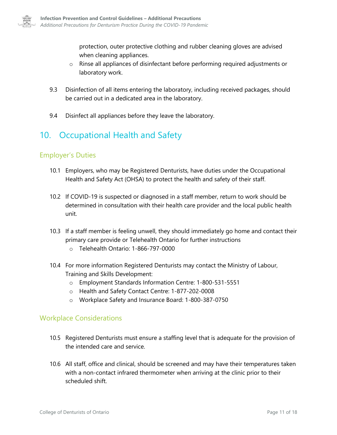

protection, outer protective clothing and rubber cleaning gloves are advised when cleaning appliances.

- $\circ$  Rinse all appliances of disinfectant before performing required adjustments or laboratory work.
- 9.3 Disinfection of all items entering the laboratory, including received packages, should be carried out in a dedicated area in the laboratory.
- 9.4 Disinfect all appliances before they leave the laboratory.

## <span id="page-12-0"></span>10. Occupational Health and Safety

### <span id="page-12-1"></span>Employer's Duties

- 10.1 Employers, who may be Registered Denturists, have duties under the Occupational Health and Safety Act (OHSA) to protect the health and safety of their staff.
- 10.2 If COVID-19 is suspected or diagnosed in a staff member, return to work should be determined in consultation with their health care provider and the local public health unit.
- 10.3 If a staff member is feeling unwell, they should immediately go home and contact their primary care provide or Telehealth Ontario for further instructions
	- o Telehealth Ontario: 1-866-797-0000
- 10.4 For more information Registered Denturists may contact the Ministry of Labour, Training and Skills Development:
	- o Employment Standards Information Centre: 1-800-531-5551
	- o Health and Safety Contact Centre: 1-877-202-0008
	- o Workplace Safety and Insurance Board: 1-800-387-0750

### <span id="page-12-2"></span>Workplace Considerations

- 10.5 Registered Denturists must ensure a staffing level that is adequate for the provision of the intended care and service.
- 10.6 All staff, office and clinical, should be screened and may have their temperatures taken with a non-contact infrared thermometer when arriving at the clinic prior to their scheduled shift.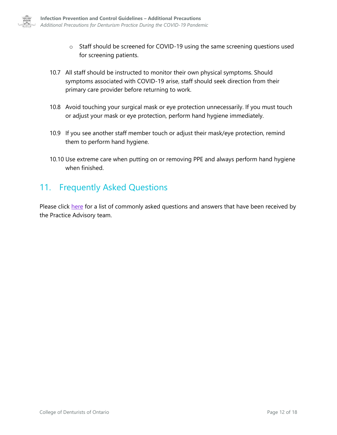

- o Staff should be screened for COVID-19 using the same screening questions used for screening patients.
- 10.7 All staff should be instructed to monitor their own physical symptoms. Should symptoms associated with COVID-19 arise, staff should seek direction from their primary care provider before returning to work.
- 10.8 Avoid touching your surgical mask or eye protection unnecessarily. If you must touch or adjust your mask or eye protection, perform hand hygiene immediately.
- 10.9 If you see another staff member touch or adjust their mask/eye protection, remind them to perform hand hygiene.
- 10.10 Use extreme care when putting on or removing PPE and always perform hand hygiene when finished.

## <span id="page-13-0"></span>11. Frequently Asked Questions

Please click [here](https://denturists-cdo.com/cdo/media/CDO-Media/Announcements/Return-to-Practice-FAQs.pdf) for a list of commonly asked questions and answers that have been received by the Practice Advisory team.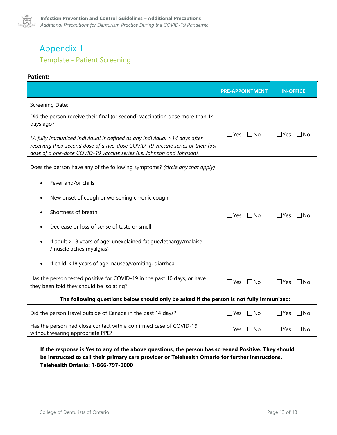

## <span id="page-14-0"></span>Appendix 1 Template - Patient Screening

#### **Patient:**

|                                                                                                                                                                                                                                                                                                                                       | <b>PRE-APPOINTMENT</b>     | <b>IN-OFFICE</b>           |
|---------------------------------------------------------------------------------------------------------------------------------------------------------------------------------------------------------------------------------------------------------------------------------------------------------------------------------------|----------------------------|----------------------------|
| Screening Date:                                                                                                                                                                                                                                                                                                                       |                            |                            |
| Did the person receive their final (or second) vaccination dose more than 14<br>days ago?<br>*A fully immunized individual is defined as any individual > 14 days after<br>receiving their second dose of a two-dose COVID-19 vaccine series or their first<br>dose of a one-dose COVID-19 vaccine series (i.e. Johnson and Johnson). | $\Box$ Yes $\Box$ No       | $\Box$ Yes<br>$\Box$ No    |
| Does the person have any of the following symptoms? (circle any that apply)                                                                                                                                                                                                                                                           |                            |                            |
| Fever and/or chills                                                                                                                                                                                                                                                                                                                   |                            |                            |
| New onset of cough or worsening chronic cough<br>$\bullet$                                                                                                                                                                                                                                                                            |                            |                            |
| Shortness of breath                                                                                                                                                                                                                                                                                                                   | $\Box$ Yes $\Box$ No       | $\Box$ Yes<br>$\square$ No |
| Decrease or loss of sense of taste or smell                                                                                                                                                                                                                                                                                           |                            |                            |
| If adult >18 years of age: unexplained fatigue/lethargy/malaise<br>$\bullet$<br>/muscle aches(myalgias)                                                                                                                                                                                                                               |                            |                            |
| If child <18 years of age: nausea/vomiting, diarrhea                                                                                                                                                                                                                                                                                  |                            |                            |
| Has the person tested positive for COVID-19 in the past 10 days, or have<br>they been told they should be isolating?                                                                                                                                                                                                                  | $\Box$ Yes<br>$\square$ No | $\Box$ Yes<br>] No         |
| The following questions below should only be asked if the person is not fully immunized:                                                                                                                                                                                                                                              |                            |                            |
| Did the person travel outside of Canada in the past 14 days?                                                                                                                                                                                                                                                                          | $\square$ No<br>$\Box$ Yes | $\Box$ Yes<br>$\Box$ No    |
| Has the person had close contact with a confirmed case of COVID-19<br>without wearing appropriate PPE?                                                                                                                                                                                                                                | $\Box$ Yes<br>$\Box$ No    | $\Box$ Yes<br>⊥No          |

**If the response is Yes to any of the above questions, the person has screened Positive. They should be instructed to call their primary care provider or Telehealth Ontario for further instructions. Telehealth Ontario: 1-866-797-0000**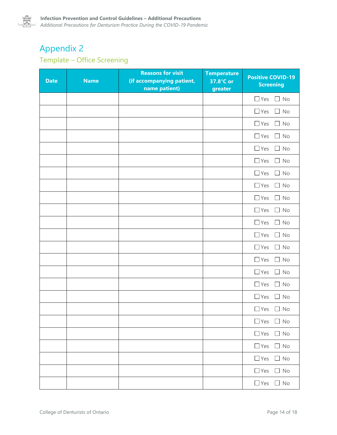

# <span id="page-15-0"></span>Appendix 2

## Template – Office Screening

| <b>Date</b> | <b>Name</b> | <b>Reasons for visit</b><br>(if accompanying patient,<br>name patient) | <b>Temperature</b><br>37.8°C or<br>greater | <b>Positive COVID-19</b><br><b>Screening</b> |
|-------------|-------------|------------------------------------------------------------------------|--------------------------------------------|----------------------------------------------|
|             |             |                                                                        |                                            | $\Box$ Yes<br>$\Box$ No                      |
|             |             |                                                                        |                                            | $\Box$ Yes<br>$\Box$ No                      |
|             |             |                                                                        |                                            | $\Box$ Yes<br>$\Box$ No                      |
|             |             |                                                                        |                                            | $\Box$ Yes<br>$\Box$ No                      |
|             |             |                                                                        |                                            | $\Box$ Yes<br>$\Box$ No                      |
|             |             |                                                                        |                                            | $\Box$ Yes<br>$\Box$ No                      |
|             |             |                                                                        |                                            | $\Box$ Yes<br>$\Box$ No                      |
|             |             |                                                                        |                                            | $\Box$ Yes<br>$\Box$ No                      |
|             |             |                                                                        |                                            | $\Box$ Yes<br>$\Box$ No                      |
|             |             |                                                                        |                                            | $\Box$ Yes<br>$\Box$ No                      |
|             |             |                                                                        |                                            | $\Box$ Yes<br>$\Box$ No                      |
|             |             |                                                                        |                                            | $\Box$ Yes<br>$\Box$ No                      |
|             |             |                                                                        |                                            | $\Box$ Yes<br>$\Box$ No                      |
|             |             |                                                                        |                                            | $\Box$ Yes<br>$\Box$ No                      |
|             |             |                                                                        |                                            | $\Box$ Yes<br>$\Box$ No                      |
|             |             |                                                                        |                                            | $\Box$ Yes<br>$\Box$ No                      |
|             |             |                                                                        |                                            | $\Box$ Yes<br>$\Box$ No                      |
|             |             |                                                                        |                                            | $\Box$ Yes<br>$\Box$ No                      |
|             |             |                                                                        |                                            | $\Box$ Yes $\Box$ No                         |
|             |             |                                                                        |                                            | $\Box$ Yes $\Box$ No                         |
|             |             |                                                                        |                                            | $\Box$ Yes $\Box$ No                         |
|             |             |                                                                        |                                            | $\Box$ Yes $\Box$ No                         |
|             |             |                                                                        |                                            | $\Box$ Yes $\Box$ No                         |
|             |             |                                                                        |                                            | $\Box$ Yes $\Box$ No                         |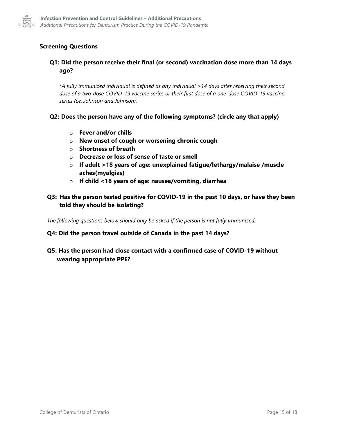

### **Screening Questions**

#### **Q1: Did the person receive their final (or second) vaccination dose more than 14 days ago?**

*\*A fully immunized individual is defined as any individual >14 days after receiving their second dose of a two-dose COVID-19 vaccine series or their first dose of a one-dose COVID-19 vaccine series (i.e. Johnson and Johnson).*

#### **Q2: Does the person have any of the following symptoms? (circle any that apply)**

- o **Fever and/or chills**
- o **New onset of cough or worsening chronic cough**
- o **Shortness of breath**
- o **Decrease or loss of sense of taste or smell**
- o **If adult >18 years of age: unexplained fatigue/lethargy/malaise /muscle aches(myalgias)**
- o **If child <18 years of age: nausea/vomiting, diarrhea**

#### **Q3: Has the person tested positive for COVID-19 in the past 10 days, or have they been told they should be isolating?**

*The following questions below should only be asked if the person is not fully immunized:*

#### **Q4: Did the person travel outside of Canada in the past 14 days?**

### **Q5: Has the person had close contact with a confirmed case of COVID-19 without wearing appropriate PPE?**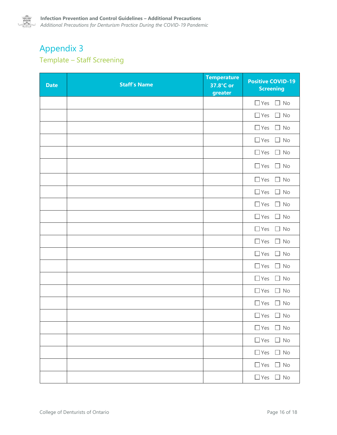

## <span id="page-17-0"></span>Appendix 3 Template – Staff Screening

| <b>Date</b> | <b>Staff's Name</b> | <b>Temperature</b><br>37.8°C or<br>greater | <b>Positive COVID-19</b><br><b>Screening</b> |
|-------------|---------------------|--------------------------------------------|----------------------------------------------|
|             |                     |                                            | $\Box$ Yes $\Box$ No                         |
|             |                     |                                            | $\Box$ Yes<br>$\Box$ No                      |
|             |                     |                                            | $\Box$ Yes<br>$\Box$ No                      |
|             |                     |                                            | $\Box$ Yes<br>$\Box$ No                      |
|             |                     |                                            | $\Box$ Yes $\Box$ No                         |
|             |                     |                                            | $\Box$ Yes<br>$\Box$ No                      |
|             |                     |                                            | $\Box$ Yes<br>$\Box$ No                      |
|             |                     |                                            | $\Box$ Yes<br>$\Box$ No                      |
|             |                     |                                            | $\Box$ Yes<br>$\Box$ No                      |
|             |                     |                                            | $\Box$ Yes $\Box$ No                         |
|             |                     |                                            | $\Box$ Yes<br>$\Box$ No                      |
|             |                     |                                            | $\Box$ Yes<br>$\Box$ No                      |
|             |                     |                                            | $\Box$ Yes<br>$\Box$ No                      |
|             |                     |                                            | $\Box$ Yes<br>$\Box$ No                      |
|             |                     |                                            | $\Box$ Yes<br>$\Box$ No                      |
|             |                     |                                            | $\Box$ Yes<br>$\Box$ No                      |
|             |                     |                                            | $\Box$ Yes<br>$\Box$ No                      |
|             |                     |                                            | $\Box$ Yes $\Box$ No                         |
|             |                     |                                            | $\Box$ Yes $\Box$ No                         |
|             |                     |                                            | $\Box$ Yes $\Box$ No                         |
|             |                     |                                            | $\Box$ Yes $\Box$ No                         |
|             |                     |                                            | $\Box$ Yes $\Box$ No                         |
|             |                     |                                            | $\Box$ Yes $\Box$ No                         |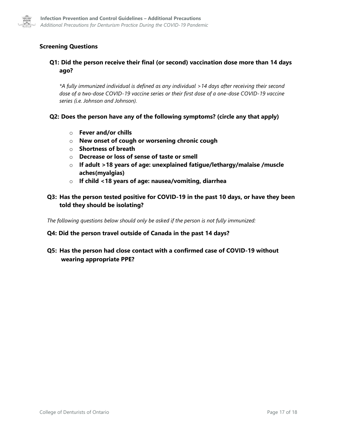

### **Screening Questions**

#### **Q1: Did the person receive their final (or second) vaccination dose more than 14 days ago?**

*\*A fully immunized individual is defined as any individual >14 days after receiving their second dose of a two-dose COVID-19 vaccine series or their first dose of a one-dose COVID-19 vaccine series (i.e. Johnson and Johnson).*

#### **Q2: Does the person have any of the following symptoms? (circle any that apply)**

- o **Fever and/or chills**
- o **New onset of cough or worsening chronic cough**
- o **Shortness of breath**
- o **Decrease or loss of sense of taste or smell**
- o **If adult >18 years of age: unexplained fatigue/lethargy/malaise /muscle aches(myalgias)**
- o **If child <18 years of age: nausea/vomiting, diarrhea**

#### **Q3: Has the person tested positive for COVID-19 in the past 10 days, or have they been told they should be isolating?**

*The following questions below should only be asked if the person is not fully immunized:*

#### **Q4: Did the person travel outside of Canada in the past 14 days?**

#### **Q5: Has the person had close contact with a confirmed case of COVID-19 without wearing appropriate PPE?**